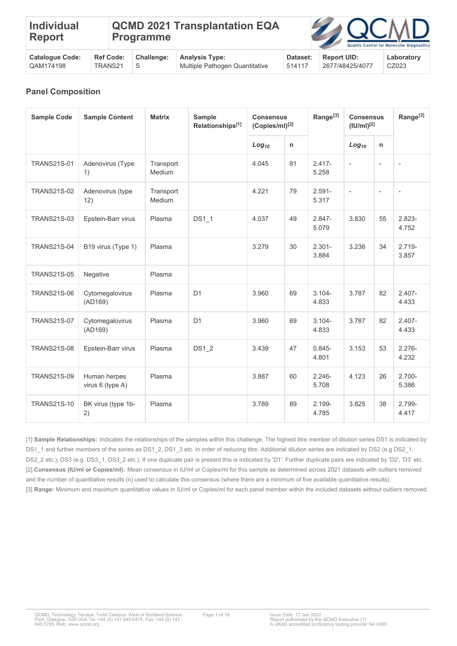| <b>Individual</b><br><b>Report</b> |                  | <b>Programme</b>  | <b>QCMD 2021 Transplantation EQA</b> |          | <b>ZAQCMD</b>      | Quality Control for Molecular Diagnostic |
|------------------------------------|------------------|-------------------|--------------------------------------|----------|--------------------|------------------------------------------|
| <b>Catalogue Code:</b>             | <b>Ref Code:</b> | <b>Challenge:</b> | <b>Analysis Type:</b>                | Dataset: | <b>Report UID:</b> | Laboratorv                               |

514117

2677/48425/4077

CZ023

| <b>Panel Composition</b> |  |
|--------------------------|--|
|                          |  |

TRANS21

S

QAM174198

| <b>Sample Code</b> | <b>Sample Content</b>            | <b>Matrix</b>       | <b>Sample</b><br>Relationships[1] | <b>Consensus</b><br>(Copies/ml) <sup>[2]</sup> |    | Range <sup>[3]</sup> | <b>Consensus</b><br>$($ IU/mI) $^{[2]}$ |                          | Range <sup>[3]</sup>     |
|--------------------|----------------------------------|---------------------|-----------------------------------|------------------------------------------------|----|----------------------|-----------------------------------------|--------------------------|--------------------------|
|                    |                                  |                     |                                   | $Log_{10}$                                     | n  |                      | $Log_{10}$                              | $\mathsf{n}$             |                          |
| <b>TRANS21S-01</b> | Adenovirus (Type<br>1)           | Transport<br>Medium |                                   | 4.045                                          | 81 | $2.417 -$<br>5.258   | $\overline{\phantom{a}}$                | $\overline{\phantom{a}}$ |                          |
| <b>TRANS21S-02</b> | Adenovirus (type<br>12)          | Transport<br>Medium |                                   | 4.221                                          | 79 | $2.591 -$<br>5.317   | $\overline{\phantom{a}}$                | $\overline{\phantom{a}}$ | $\overline{\phantom{a}}$ |
| <b>TRANS21S-03</b> | Epstein-Barr virus               | Plasma              | <b>DS1 1</b>                      | 4.037                                          | 49 | $2.847 -$<br>5.079   | 3.830                                   | 55                       | $2.823 -$<br>4.752       |
| <b>TRANS21S-04</b> | B19 virus (Type 1)               | Plasma              |                                   | 3.279                                          | 30 | $2.301 -$<br>3.884   | 3.236                                   | 34                       | $2.719 -$<br>3.857       |
| <b>TRANS21S-05</b> | Negative                         | Plasma              |                                   |                                                |    |                      |                                         |                          |                          |
| <b>TRANS21S-06</b> | Cytomegalovirus<br>(AD169)       | Plasma              | D <sub>1</sub>                    | 3.960                                          | 69 | $3.104 -$<br>4.833   | 3.787                                   | 82                       | $2.407 -$<br>4.433       |
| <b>TRANS21S-07</b> | Cytomegalovirus<br>(AD169)       | Plasma              | D <sub>1</sub>                    | 3.960                                          | 69 | $3.104 -$<br>4.833   | 3.787                                   | 82                       | $2.407 -$<br>4.433       |
| <b>TRANS21S-08</b> | Epstein-Barr virus               | Plasma              | <b>DS1 2</b>                      | 3.439                                          | 47 | $0.845 -$<br>4.801   | 3.153                                   | 53                       | $2.276 -$<br>4.232       |
| <b>TRANS21S-09</b> | Human herpes<br>virus 6 (type A) | Plasma              |                                   | 3.887                                          | 60 | $2.246 -$<br>5.708   | 4.123                                   | 26                       | $2.700 -$<br>5.386       |
| <b>TRANS21S-10</b> | BK virus (type 1b-<br>2)         | Plasma              |                                   | 3.789                                          | 89 | 2.199-<br>4.785      | 3.825                                   | 38                       | 2.799-<br>4.417          |

[1] **Sample Relationships:** Indicates the relationships of the samples within this challenge. The highest titre member of dilution series DS1 is indicated by DS1\_1 and further members of the series as DS1\_2, DS1\_3 etc. in order of reducing titre. Additional dilution series are indicated by DS2 (e.g DS2\_1, DS2\_2 etc.), DS3 (e.g. DS3\_1, DS3\_2 etc.). If one duplicate pair is present this is indicated by 'D1'. Further duplicate pairs are indicated by 'D2', 'D3' etc. [2] **Consensus (IU/ml or Copies/ml):** Mean consensus in IU/ml or Copies/ml for this sample as determined across 2021 datasets with outliers removed and the number of quantitative results (n) used to calculate this consensus (where there are a minimum of five available quantitative results). [3] **Range:** Minimum and maximum quantitative values in IU/ml or Copies/ml for each panel member within the included datasets without outliers removed.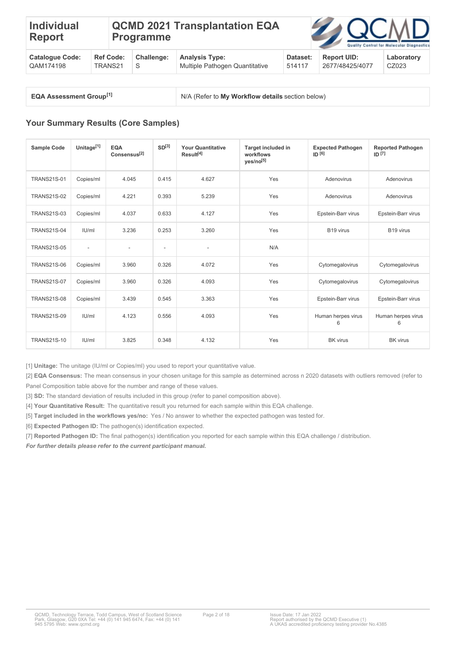#### **Individual Report QCMD 2021 Transplantation EQA Programme**

| <b>Catalogue Code:</b> |           | Ref Code: Challenge: Analysis Type: | Dataset: | <b>Report UID:</b> | Laboratory |
|------------------------|-----------|-------------------------------------|----------|--------------------|------------|
| QAM174198              | TRANS21 S | Multiple Pathogen Quantitative      | 514117   | 2677/48425/4077    | CZ023      |

**EQA Assessment Group[1]** 

**N/A (Refer to My Workflow details section below)** 

# **Your Summary Results (Core Samples)**

| <b>Sample Code</b> | Unitage <sup>[1]</sup>   | <b>EQA</b><br>Consensus <sup>[2]</sup> | SD <sup>[3]</sup> | <b>Your Quantitative</b><br>Result <sup>[4]</sup> | <b>Target included in</b><br>workflows<br>yes/no <sup>[5]</sup> | <b>Expected Pathogen</b><br>ID <sup>[6]</sup> | <b>Reported Pathogen</b><br>ID <sup>[7]</sup> |
|--------------------|--------------------------|----------------------------------------|-------------------|---------------------------------------------------|-----------------------------------------------------------------|-----------------------------------------------|-----------------------------------------------|
| <b>TRANS21S-01</b> | Copies/ml                | 4.045                                  | 0.415             | 4.627                                             | Yes                                                             | Adenovirus                                    | Adenovirus                                    |
| <b>TRANS21S-02</b> | Copies/ml                | 4.221                                  | 0.393             | 5.239                                             | Yes                                                             | Adenovirus                                    | Adenovirus                                    |
| <b>TRANS21S-03</b> | Copies/ml                | 4.037                                  | 0.633             | 4.127                                             | Yes                                                             | Epstein-Barr virus                            | Epstein-Barr virus                            |
| <b>TRANS21S-04</b> | IU/ml                    | 3.236                                  | 0.253             | 3.260                                             | Yes                                                             | B <sub>19</sub> virus                         | B <sub>19</sub> virus                         |
| <b>TRANS21S-05</b> | $\overline{\phantom{a}}$ | ٠                                      | $\sim$            | $\overline{\phantom{a}}$                          | N/A                                                             |                                               |                                               |
| <b>TRANS21S-06</b> | Copies/ml                | 3.960                                  | 0.326             | 4.072                                             | Yes                                                             | Cytomegalovirus                               | Cytomegalovirus                               |
| <b>TRANS21S-07</b> | Copies/ml                | 3.960                                  | 0.326             | 4.093                                             | Yes                                                             | Cytomegalovirus                               | Cytomegalovirus                               |
| <b>TRANS21S-08</b> | Copies/ml                | 3.439                                  | 0.545             | 3.363                                             | Yes                                                             | Epstein-Barr virus                            | Epstein-Barr virus                            |
| <b>TRANS21S-09</b> | U/m                      | 4.123                                  | 0.556             | 4.093                                             | Yes                                                             | Human herpes virus<br>6                       | Human herpes virus<br>6                       |
| <b>TRANS21S-10</b> | U/m                      | 3.825                                  | 0.348             | 4.132                                             | Yes                                                             | <b>BK</b> virus                               | <b>BK</b> virus                               |

[1] **Unitage:** The unitage (IU/ml or Copies/ml) you used to report your quantitative value.

[2] **EQA Consensus:** The mean consensus in your chosen unitage for this sample as determined across n 2020 datasets with outliers removed (refer to Panel Composition table above for the number and range of these values.

[3] **SD:** The standard deviation of results included in this group (refer to panel composition above).

[4] **Your Quantitative Result:** The quantitative result you returned for each sample within this EQA challenge.

[5] **Target included in the workflows yes/no:** Yes / No answer to whether the expected pathogen was tested for.

[6] **Expected Pathogen ID:** The pathogen(s) identification expected.

[7] **Reported Pathogen ID:** The final pathogen(s) identification you reported for each sample within this EQA challenge / distribution.

*For further details please refer to the current participant manual.*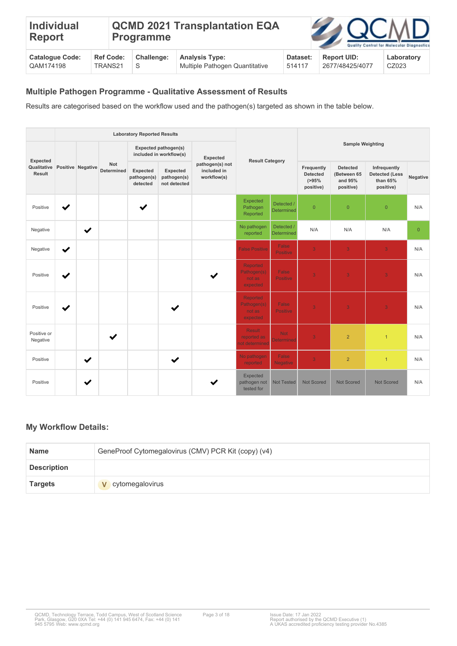| <b>Individual</b><br><b>Report</b> |         |                  | <b>Programme</b>  | <b>QCMD 2021 Transplantation EQA</b> |          | <b>ZAQCMD</b>      | Quality Control for Molecular Diagnostics |
|------------------------------------|---------|------------------|-------------------|--------------------------------------|----------|--------------------|-------------------------------------------|
| <b>Catalogue Code:</b>             |         | <b>Ref Code:</b> | <b>Challenge:</b> | <b>Analysis Type:</b>                | Dataset: | <b>Report UID:</b> | Laboratory                                |
| QAM174198                          | TRANS21 |                  | S                 | Multiple Pathogen Quantitative       | 514117   | 2677/48425/4077    | CZ023                                     |

## **Multiple Pathogen Programme - Qualitative Assessment of Results**

Results are categorised based on the workflow used and the pathogen(s) targeted as shown in the table below.

|                         | <b>Laboratory Reported Results</b> |                   |                                 |                                     |                                                 |                                               |                                                      |                                 |                                                            |                                                        |                                                                |                |  |
|-------------------------|------------------------------------|-------------------|---------------------------------|-------------------------------------|-------------------------------------------------|-----------------------------------------------|------------------------------------------------------|---------------------------------|------------------------------------------------------------|--------------------------------------------------------|----------------------------------------------------------------|----------------|--|
| Expected                |                                    |                   |                                 |                                     | Expected pathogen(s)<br>included in workflow(s) | Expected                                      | <b>Result Category</b>                               |                                 |                                                            | <b>Sample Weighting</b>                                |                                                                |                |  |
| Qualitative<br>Result   |                                    | Positive Negative | <b>Not</b><br><b>Determined</b> | Expected<br>pathogen(s)<br>detected | Expected<br>pathogen(s)<br>not detected         | pathogen(s) not<br>included in<br>workflow(s) |                                                      |                                 | Frequently<br><b>Detected</b><br>$( > 95\% )$<br>positive) | <b>Detected</b><br>(Between 65<br>and 95%<br>positive) | Infrequently<br><b>Detected (Less</b><br>than 65%<br>positive) | Negative       |  |
| Positive                | ✔                                  |                   |                                 | ✔                                   |                                                 |                                               | Expected<br>Pathogen<br>Reported                     | Detected /<br>Determined        | $\overline{0}$                                             | $\overline{0}$                                         | $\overline{0}$                                                 | N/A            |  |
| Negative                |                                    | ✔                 |                                 |                                     |                                                 |                                               | No pathogen<br>reported                              | Detected /<br>Determined        | N/A                                                        | N/A                                                    | N/A                                                            | $\overline{0}$ |  |
| Negative                | $\checkmark$                       |                   |                                 |                                     |                                                 |                                               | <b>False Positive</b>                                | False<br><b>Positive</b>        | $\overline{3}$                                             | 3                                                      | 3 <sup>°</sup>                                                 | N/A            |  |
| Positive                | ✔                                  |                   |                                 |                                     |                                                 |                                               | <b>Reported</b><br>Pathogen(s)<br>not as<br>expected | False<br><b>Positive</b>        | 3                                                          | 3                                                      | 3                                                              | N/A            |  |
| Positive                | ✔                                  |                   |                                 |                                     | ✔                                               |                                               | <b>Reported</b><br>Pathogen(s)<br>not as<br>expected | False<br><b>Positive</b>        | $\overline{3}$                                             | $\overline{3}$                                         | $\overline{3}$                                                 | N/A            |  |
| Positive or<br>Negative |                                    |                   | ✔                               |                                     |                                                 |                                               | <b>Result</b><br>reported as<br>ot determined        | <b>Not</b><br><b>Determined</b> | 3                                                          | $\overline{2}$                                         | $\mathbf{1}$                                                   | N/A            |  |
| Positive                |                                    | $\checkmark$      |                                 |                                     | $\checkmark$                                    |                                               | No pathogen<br>reported                              | False<br><b>Negative</b>        | $\overline{3}$                                             | $\overline{2}$                                         | $\mathbf{1}$                                                   | N/A            |  |
| Positive                |                                    | ✔                 |                                 |                                     |                                                 |                                               | Expected<br>pathogen not<br>tested for               | <b>Not Tested</b>               | <b>Not Scored</b>                                          | <b>Not Scored</b>                                      | <b>Not Scored</b>                                              | N/A            |  |

### **My Workflow Details:**

| <b>Name</b>        | GeneProof Cytomegalovirus (CMV) PCR Kit (copy) (v4) |
|--------------------|-----------------------------------------------------|
| <b>Description</b> |                                                     |
| <b>Targets</b>     | cytomegalovirus                                     |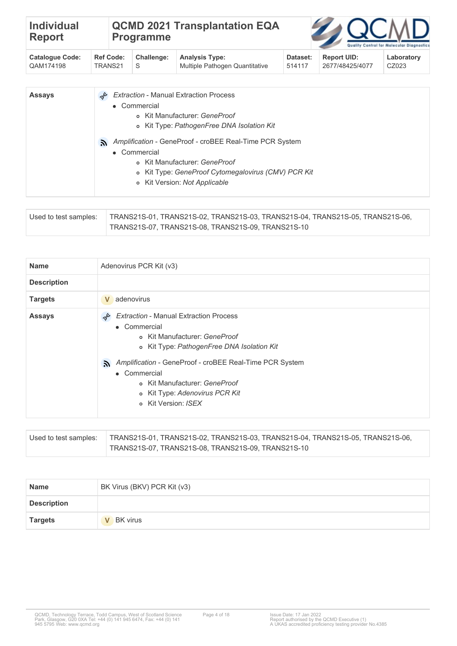| <b>Individual</b><br><b>Report</b> |                  | <b>QCMD 2021 Transplantation EQA</b><br><b>Programme</b> |                                |          | <b>ZOCMD</b>       | Quality Control for Molecular Diagnostics |
|------------------------------------|------------------|----------------------------------------------------------|--------------------------------|----------|--------------------|-------------------------------------------|
| <b>Catalogue Code:</b>             | <b>Ref Code:</b> | Challenge:                                               | <b>Analysis Type:</b>          | Dataset: | <b>Report UID:</b> | Laboratory                                |
| QAM174198                          | TRANS21          | S                                                        | Multiple Pathogen Quantitative | 514117   | 2677/48425/4077    | CZ023                                     |

| <b>Assays</b> | <b>Extraction - Manual Extraction Process</b>                 |
|---------------|---------------------------------------------------------------|
|               | • Commercial                                                  |
|               | o Kit Manufacturer: GeneProof                                 |
|               | o Kit Type: PathogenFree DNA Isolation Kit                    |
|               | Amplification - GeneProof - croBEE Real-Time PCR System<br>λ. |
|               | • Commercial                                                  |
|               | o Kit Manufacturer: GeneProof                                 |
|               | o Kit Type: GeneProof Cytomegalovirus (CMV) PCR Kit           |
|               | o Kit Version: Not Applicable                                 |
|               |                                                               |

| Used to test samples: | TRANS21S-01, TRANS21S-02, TRANS21S-03, TRANS21S-04, TRANS21S-05, TRANS21S-06, |
|-----------------------|-------------------------------------------------------------------------------|
|                       | TRANS21S-07, TRANS21S-08, TRANS21S-09, TRANS21S-10                            |

| <b>Name</b>        | Adenovirus PCR Kit (v3)                                                                                                                                                                                                                                                                                                 |
|--------------------|-------------------------------------------------------------------------------------------------------------------------------------------------------------------------------------------------------------------------------------------------------------------------------------------------------------------------|
| <b>Description</b> |                                                                                                                                                                                                                                                                                                                         |
| <b>Targets</b>     | adenovirus<br>V                                                                                                                                                                                                                                                                                                         |
| <b>Assays</b>      | <b>Extraction - Manual Extraction Process</b><br>• Commercial<br>o Kit Manufacturer: GeneProof<br>o Kit Type: PathogenFree DNA Isolation Kit<br>Amplification - GeneProof - croBEE Real-Time PCR System<br>A.<br>• Commercial<br>o Kit Manufacturer: GeneProof<br>o Kit Type: Adenovirus PCR Kit<br>o Kit Version: ISEX |

| Used to test samples: | TRANS21S-01, TRANS21S-02, TRANS21S-03, TRANS21S-04, TRANS21S-05, TRANS21S-06, |
|-----------------------|-------------------------------------------------------------------------------|
|                       | TRANS21S-07, TRANS21S-08, TRANS21S-09, TRANS21S-10                            |

| <b>Name</b>        | BK Virus (BKV) PCR Kit (v3)     |
|--------------------|---------------------------------|
| <b>Description</b> |                                 |
| <b>Targets</b>     | <b>BK</b> virus<br>$\mathbf{V}$ |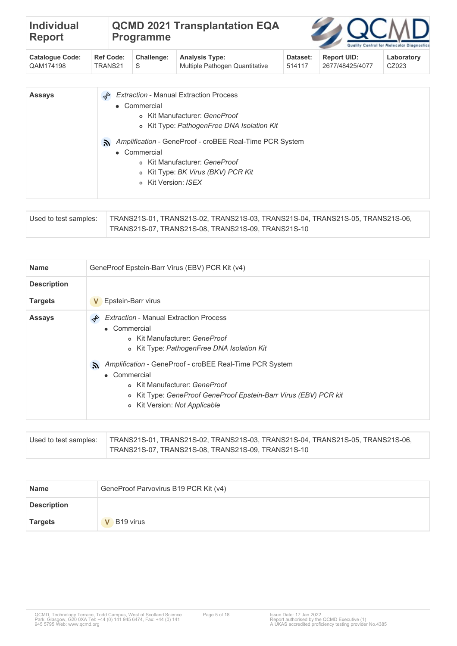| <b>Individual</b><br>Report | <b>Programme</b> | <b>QCMD 2021 Transplantation EQA</b> |  | <b>ZAQCMD</b><br>Quality Control for Molecular Diagnostic |  |
|-----------------------------|------------------|--------------------------------------|--|-----------------------------------------------------------|--|
|                             |                  |                                      |  |                                                           |  |

| Cataloque Code: |           | Ref Code: Challenge: Analysis Type: | Dataset: | Report UID:     | Laboratory |
|-----------------|-----------|-------------------------------------|----------|-----------------|------------|
| CAM174198       | TRANS21 S | Multiple Pathogen Quantitative      | 514117   | 2677/48425/4077 | CZ023      |

| <b>Assays</b> | <b>Extraction - Manual Extraction Process</b>                 |
|---------------|---------------------------------------------------------------|
|               | • Commercial                                                  |
|               | o Kit Manufacturer: GeneProof                                 |
|               | o Kit Type: PathogenFree DNA Isolation Kit                    |
|               | Amplification - GeneProof - croBEE Real-Time PCR System<br>A. |
|               | • Commercial                                                  |
|               | o Kit Manufacturer: GeneProof                                 |
|               | o Kit Type: BK Virus (BKV) PCR Kit                            |
|               | o Kit Version: <i>ISFX</i>                                    |
|               |                                                               |

| Used to test samples: | TRANS21S-01, TRANS21S-02, TRANS21S-03, TRANS21S-04, TRANS21S-05, TRANS21S-06, |
|-----------------------|-------------------------------------------------------------------------------|
|                       | TRANS21S-07, TRANS21S-08, TRANS21S-09, TRANS21S-10                            |

| <b>Name</b>        | GeneProof Epstein-Barr Virus (EBV) PCR Kit (v4)                                                                                                                                                                                                                                                                                                                     |
|--------------------|---------------------------------------------------------------------------------------------------------------------------------------------------------------------------------------------------------------------------------------------------------------------------------------------------------------------------------------------------------------------|
| <b>Description</b> |                                                                                                                                                                                                                                                                                                                                                                     |
| <b>Targets</b>     | Epstein-Barr virus<br>V                                                                                                                                                                                                                                                                                                                                             |
| <b>Assays</b>      | <b>Extraction - Manual Extraction Process</b><br>• Commercial<br>o Kit Manufacturer: GeneProof<br>o Kit Type: PathogenFree DNA Isolation Kit<br>Amplification - GeneProof - croBEE Real-Time PCR System<br>A.<br>• Commercial<br>o Kit Manufacturer: GeneProof<br>o Kit Type: GeneProof GeneProof Epstein-Barr Virus (EBV) PCR kit<br>o Kit Version: Not Applicable |

| Used to test samples: | TRANS21S-01, TRANS21S-02, TRANS21S-03, TRANS21S-04, TRANS21S-05, TRANS21S-06, |
|-----------------------|-------------------------------------------------------------------------------|
|                       | TRANS21S-07, TRANS21S-08, TRANS21S-09, TRANS21S-10                            |

| <b>Name</b>        | GeneProof Parvovirus B19 PCR Kit (v4) |
|--------------------|---------------------------------------|
| <b>Description</b> |                                       |
| <b>Targets</b>     | V B19 virus                           |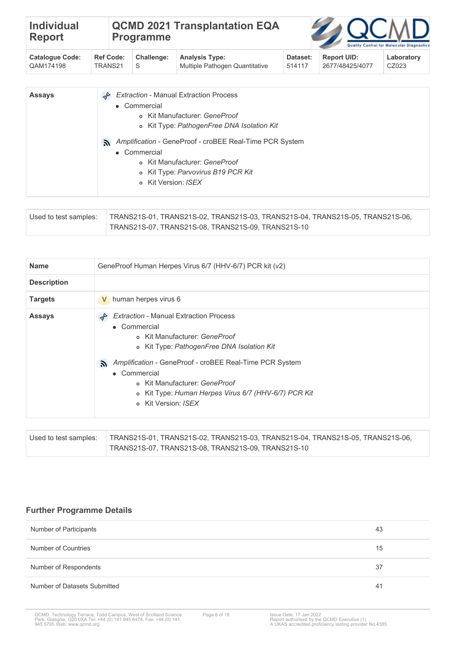| <b>Individual</b><br><b>Report</b> | <b>Programme</b> | <b>QCMD 2021 Transplantation EQA</b> |  | <b>ZAQCMD</b><br>Quality Control for Molecular Diagnostic |
|------------------------------------|------------------|--------------------------------------|--|-----------------------------------------------------------|
|                                    |                  |                                      |  |                                                           |

| <b>Catalogue Code:</b> |           | Ref Code: Challenge: Analysis Type: | Dataset: | <b>Report UID:</b> | Laboratory |
|------------------------|-----------|-------------------------------------|----------|--------------------|------------|
| <sup>'</sup> QAM174198 | TRANS21 S | Multiple Pathogen Quantitative      | 514117   | 2677/48425/4077    | CZ023      |

| <b>Assays</b> | <b>Extraction - Manual Extraction Process</b>                 |
|---------------|---------------------------------------------------------------|
|               | • Commercial                                                  |
|               | o Kit Manufacturer: GeneProof                                 |
|               | o Kit Type: PathogenFree DNA Isolation Kit                    |
|               | Amplification - GeneProof - croBEE Real-Time PCR System<br>A. |
|               | • Commercial                                                  |
|               | o Kit Manufacturer: GeneProof                                 |
|               | o Kit Type: Parvovirus B19 PCR Kit                            |
|               | o Kit Version: ISEX                                           |
|               |                                                               |

| Used to test samples: | TRANS21S-01. TRANS21S-02. TRANS21S-03. TRANS21S-04. TRANS21S-05. TRANS21S-06. |
|-----------------------|-------------------------------------------------------------------------------|
|                       | TRANS21S-07, TRANS21S-08, TRANS21S-09, TRANS21S-10                            |

| <b>Name</b>        | GeneProof Human Herpes Virus 6/7 (HHV-6/7) PCR kit (v2)                                                                                                                                                                                                                                                                                       |
|--------------------|-----------------------------------------------------------------------------------------------------------------------------------------------------------------------------------------------------------------------------------------------------------------------------------------------------------------------------------------------|
| <b>Description</b> |                                                                                                                                                                                                                                                                                                                                               |
| <b>Targets</b>     | human herpes virus 6<br>V                                                                                                                                                                                                                                                                                                                     |
| <b>Assays</b>      | <b>Extraction - Manual Extraction Process</b><br>• Commercial<br>o Kit Manufacturer: GeneProof<br>o Kit Type: PathogenFree DNA Isolation Kit<br>Amplification - GeneProof - croBEE Real-Time PCR System<br>λ.<br>• Commercial<br>o Kit Manufacturer: GeneProof<br>o Kit Type: Human Herpes Virus 6/7 (HHV-6/7) PCR Kit<br>o Kit Version: ISFX |

| Used to test samples: | TRANS21S-01, TRANS21S-02, TRANS21S-03, TRANS21S-04, TRANS21S-05, TRANS21S-06, |
|-----------------------|-------------------------------------------------------------------------------|
|                       | TRANS21S-07. TRANS21S-08. TRANS21S-09. TRANS21S-10 .                          |

# **Further Programme Details**

| Number of Participants       | 43 |
|------------------------------|----|
| Number of Countries          | 15 |
| Number of Respondents        | 37 |
| Number of Datasets Submitted | 41 |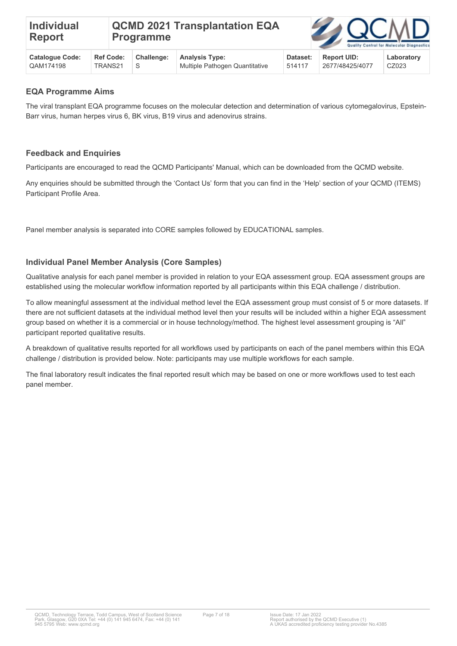**Challenge:**

S



| <b>EQA Programme Aims</b> |  |
|---------------------------|--|
|                           |  |

**Ref Code:** TRANS21

**Catalogue Code:** QAM174198

The viral transplant EQA programme focuses on the molecular detection and determination of various cytomegalovirus, Epstein-Barr virus, human herpes virus 6, BK virus, B19 virus and adenovirus strains.

Multiple Pathogen Quantitative

**Analysis Type:**

### **Feedback and Enquiries**

Participants are encouraged to read the QCMD Participants' Manual, which can be downloaded from the QCMD website.

Any enquiries should be submitted through the 'Contact Us' form that you can find in the 'Help' section of your QCMD (ITEMS) Participant Profile Area.

Panel member analysis is separated into CORE samples followed by EDUCATIONAL samples.

#### **Individual Panel Member Analysis (Core Samples)**

Qualitative analysis for each panel member is provided in relation to your EQA assessment group. EQA assessment groups are established using the molecular workflow information reported by all participants within this EQA challenge / distribution.

To allow meaningful assessment at the individual method level the EQA assessment group must consist of 5 or more datasets. If there are not sufficient datasets at the individual method level then your results will be included within a higher EQA assessment group based on whether it is a commercial or in house technology/method. The highest level assessment grouping is "All" participant reported qualitative results.

A breakdown of qualitative results reported for all workflows used by participants on each of the panel members within this EQA challenge / distribution is provided below. Note: participants may use multiple workflows for each sample.

The final laboratory result indicates the final reported result which may be based on one or more workflows used to test each panel member.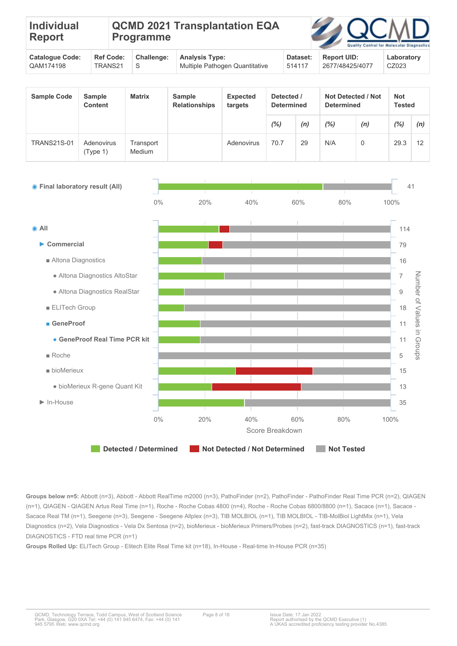| <b>Individual</b><br>Report |  | <b>Programme</b> | <b>QCMD 2021 Transplantation EQA</b> |                         |  | <b>ZAQCMD</b><br>Quality Control for Molecular Diagnostic |
|-----------------------------|--|------------------|--------------------------------------|-------------------------|--|-----------------------------------------------------------|
|                             |  | $R = 0.000$      | Array Louis Transact                 | $D = L = L$ $D = L = L$ |  | المستحلف والمستحدث والمستحدث                              |

| <b>Catalogue Code:</b> |           | Ref Code: Challenge: Analysis Type: | Dataset: | <b>Report UID:</b> | Laboratory |
|------------------------|-----------|-------------------------------------|----------|--------------------|------------|
| CAM174198              | TRANS21 S | Multiple Pathogen Quantitative      | 514117   | 2677/48425/4077    | CZ023      |
|                        |           |                                     |          |                    |            |

| <b>Sample Code</b> | <b>Sample</b><br><b>Content</b> | <b>Matrix</b>       | Sample<br><b>Relationships</b> | <b>Expected</b><br>targets | Detected /<br><b>Determined</b> |     | <b>Not Detected / Not</b><br><b>Determined</b> |     | <b>Not</b><br><b>Tested</b> |     |
|--------------------|---------------------------------|---------------------|--------------------------------|----------------------------|---------------------------------|-----|------------------------------------------------|-----|-----------------------------|-----|
|                    |                                 |                     |                                |                            | $(\%)$                          | (n) | $(\%)$                                         | (n) | (%)                         | (n) |
| <b>TRANS21S-01</b> | Adenovirus<br>(Type 1)          | Transport<br>Medium |                                | Adenovirus                 | 70.7                            | 29  | N/A                                            | 0   | 29.3                        | 12  |



**Groups below n=5:** Abbott (n=3), Abbott - Abbott RealTime m2000 (n=3), PathoFinder (n=2), PathoFinder - PathoFinder Real Time PCR (n=2), QIAGEN (n=1), QIAGEN - QIAGEN Artus Real Time (n=1), Roche - Roche Cobas 4800 (n=4), Roche - Roche Cobas 6800/8800 (n=1), Sacace (n=1), Sacace - Sacace Real TM (n=1), Seegene (n=3), Seegene - Seegene Allplex (n=3), TIB MOLBIOL (n=1), TIB MOLBIOL - TIB-MolBiol LightMix (n=1), Vela Diagnostics (n=2), Vela Diagnostics - Vela Dx Sentosa (n=2), bioMerieux - bioMerieux Primers/Probes (n=2), fast-track DIAGNOSTICS (n=1), fast-track DIAGNOSTICS - FTD real time PCR (n=1)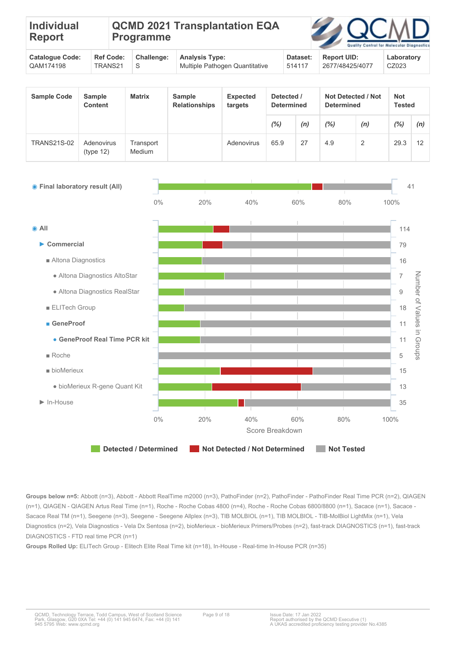| <b>Individual</b><br>Report                      | <b>Programme</b> |  |                                                  | <b>QCMD 2021 Transplantation EQA</b> |                                                  | <b>ZAQCMD</b><br>Quality Control for Molecular Diagnostic |
|--------------------------------------------------|------------------|--|--------------------------------------------------|--------------------------------------|--------------------------------------------------|-----------------------------------------------------------|
| $\sim$ $\sim$ $\sim$ $\sim$ $\sim$ $\sim$ $\sim$ |                  |  | $\sim$ $\sim$ $\sim$ $\sim$ $\sim$ $\sim$ $\sim$ | .                                    | $\sim$ $\sim$ $\sim$ $\sim$ $\sim$ $\sim$ $\sim$ | .                                                         |

| Catalogue Code:        |           | Ref Code: Challenge: Analysis Type: | Dataset: | Report UID:     | Laboratory |
|------------------------|-----------|-------------------------------------|----------|-----------------|------------|
| <sup>0</sup> QAM174198 | TRANS21 S | Multiple Pathogen Quantitative      | 514117   | 2677/48425/4077 | CZ023      |

| <b>Sample Code</b> | <b>Sample</b><br><b>Content</b> | <b>Matrix</b>       | Not Detected / Not<br>Detected /<br><b>Sample</b><br>Expected<br><b>Relationships</b><br><b>Determined</b><br><b>Determined</b><br>targets |            |        |     | <b>Not</b><br>Tested |     |      |     |
|--------------------|---------------------------------|---------------------|--------------------------------------------------------------------------------------------------------------------------------------------|------------|--------|-----|----------------------|-----|------|-----|
|                    |                                 |                     |                                                                                                                                            |            | $(\%)$ | (n) | (%)                  | (n) | (%)  | (n) |
| <b>TRANS21S-02</b> | Adenovirus<br>(type 12)         | Transport<br>Medium |                                                                                                                                            | Adenovirus | 65.9   | 27  | 4.9                  | 2   | 29.3 | 12  |



**Groups below n=5:** Abbott (n=3), Abbott - Abbott RealTime m2000 (n=3), PathoFinder (n=2), PathoFinder - PathoFinder Real Time PCR (n=2), QIAGEN (n=1), QIAGEN - QIAGEN Artus Real Time (n=1), Roche - Roche Cobas 4800 (n=4), Roche - Roche Cobas 6800/8800 (n=1), Sacace (n=1), Sacace - Sacace Real TM (n=1), Seegene (n=3), Seegene - Seegene Allplex (n=3), TIB MOLBIOL (n=1), TIB MOLBIOL - TIB-MolBiol LightMix (n=1), Vela Diagnostics (n=2), Vela Diagnostics - Vela Dx Sentosa (n=2), bioMerieux - bioMerieux Primers/Probes (n=2), fast-track DIAGNOSTICS (n=1), fast-track DIAGNOSTICS - FTD real time PCR (n=1)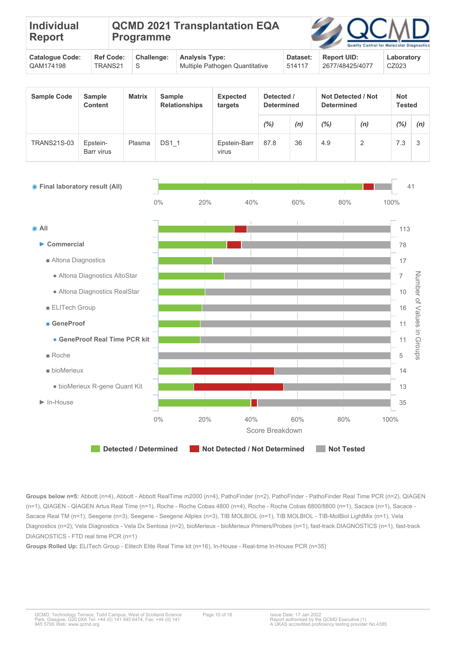| <b>Individual</b><br><b>Report</b> |                 | QCMD 2021 Transplantation EQA<br><b>Programme</b> |               |                 | <b>ZAQCMD</b>         | Quality Control for Molecular Diagnostic |
|------------------------------------|-----------------|---------------------------------------------------|---------------|-----------------|-----------------------|------------------------------------------|
| Catalance Cadar                    | $P - F - F - F$ | Challenger                                        | Angeles Truce | $D - 4 - - - 4$ | $P_{\text{sh}} = 11P$ | والمتماز والمستمر والمرار                |

| Cataloque Code:        |           | Ref Code: Challenge: Analysis Type: | Dataset:  | Report UID:     | Laboratory |
|------------------------|-----------|-------------------------------------|-----------|-----------------|------------|
| <sup>0</sup> QAM174198 | TRANS21 S | Multiple Pathogen Quantitative      | $+514117$ | 2677/48425/4077 | CZ023      |
|                        |           |                                     |           |                 |            |

| <b>Sample Code</b> | <b>Sample</b><br><b>Content</b> | <b>Matrix</b> | <b>Sample</b><br><b>Relationships</b> | <b>Expected</b><br>targets |      | Detected /<br><b>Determined</b> |     | Not Detected / Not<br><b>Determined</b> |         | Not<br><b>Tested</b> |  |
|--------------------|---------------------------------|---------------|---------------------------------------|----------------------------|------|---------------------------------|-----|-----------------------------------------|---------|----------------------|--|
|                    |                                 |               |                                       |                            | (%)  | (n)                             | (%) | (n)                                     | $(\% )$ | (n)                  |  |
| <b>TRANS21S-03</b> | Epstein-<br>Barr virus          | Plasma        | <b>DS1 1</b>                          | Epstein-Barr<br>virus      | 87.8 | 36                              | 4.9 | $\overline{2}$                          | 7.3     | 3                    |  |



**Groups below n=5:** Abbott (n=4), Abbott - Abbott RealTime m2000 (n=4), PathoFinder (n=2), PathoFinder - PathoFinder Real Time PCR (n=2), QIAGEN (n=1), QIAGEN - QIAGEN Artus Real Time (n=1), Roche - Roche Cobas 4800 (n=4), Roche - Roche Cobas 6800/8800 (n=1), Sacace (n=1), Sacace - Sacace Real TM (n=1), Seegene (n=3), Seegene - Seegene Allplex (n=3), TIB MOLBIOL (n=1), TIB MOLBIOL - TIB-MolBiol LightMix (n=1), Vela Diagnostics (n=2), Vela Diagnostics - Vela Dx Sentosa (n=2), bioMerieux - bioMerieux Primers/Probes (n=1), fast-track DIAGNOSTICS (n=1), fast-track DIAGNOSTICS - FTD real time PCR (n=1)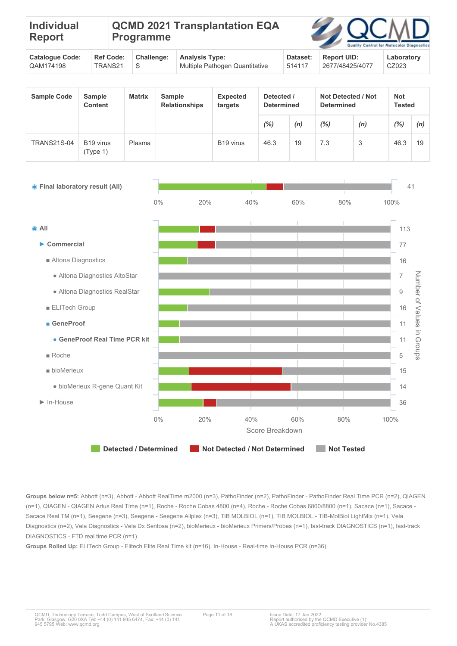| Individual<br>Report   |                  | <b>Programme</b>  | QCMD 2021 Transplantation EQA |          | <b>ZAQCMD</b>      | Quality Control for Molecular Diagnostic |
|------------------------|------------------|-------------------|-------------------------------|----------|--------------------|------------------------------------------|
| <b>Catalogue Code:</b> | <b>Ref Code:</b> | <b>Challenge:</b> | <b>Analysis Type:</b>         | Dataset: | <b>Report UID:</b> | Laboratory                               |

514117

2677/48425/4077

CZ023

| <b>Sample Code</b> | <b>Sample</b><br><b>Content</b>   | <b>Matrix</b> | <b>Sample</b><br><b>Relationships</b> | <b>Expected</b><br>targets | Detected /<br><b>Determined</b> |     | Not Detected / Not<br><b>Determined</b> |     | <b>Not</b><br><b>Tested</b> |     |
|--------------------|-----------------------------------|---------------|---------------------------------------|----------------------------|---------------------------------|-----|-----------------------------------------|-----|-----------------------------|-----|
|                    |                                   |               |                                       |                            | (%)                             | (n) | (%)                                     | (n) | (%)                         | (n) |
| <b>TRANS21S-04</b> | B <sub>19</sub> virus<br>(Type 1) | Plasma        |                                       | B <sub>19</sub> virus      | 46.3                            | 19  | 7.3                                     | 3   | 46.3                        | 19  |



**Groups below n=5:** Abbott (n=3), Abbott - Abbott RealTime m2000 (n=3), PathoFinder (n=2), PathoFinder - PathoFinder Real Time PCR (n=2), QIAGEN (n=1), QIAGEN - QIAGEN Artus Real Time (n=1), Roche - Roche Cobas 4800 (n=4), Roche - Roche Cobas 6800/8800 (n=1), Sacace (n=1), Sacace - Sacace Real TM (n=1), Seegene (n=3), Seegene - Seegene Allplex (n=3), TIB MOLBIOL (n=1), TIB MOLBIOL - TIB-MolBiol LightMix (n=1), Vela Diagnostics (n=2), Vela Diagnostics - Vela Dx Sentosa (n=2), bioMerieux - bioMerieux Primers/Probes (n=1), fast-track DIAGNOSTICS (n=1), fast-track DIAGNOSTICS - FTD real time PCR (n=1)

**Groups Rolled Up:** ELITech Group - Elitech Elite Real Time kit (n=16), In-House - Real-time In-House PCR (n=36)

QAM174198

TRANS21

S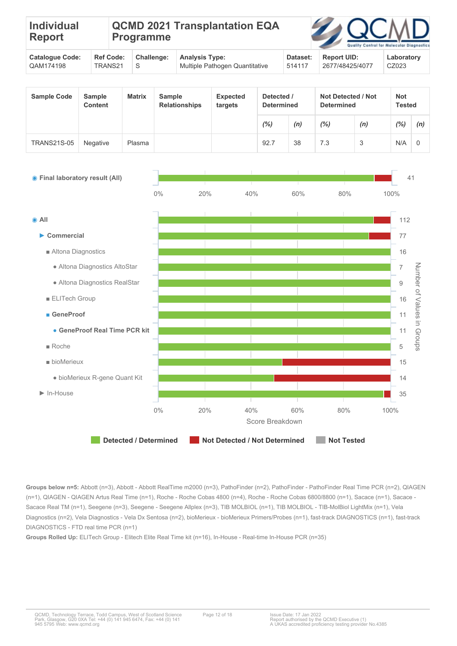| <b>Individual</b><br><b>Report</b>                    |                                                                      |                               | <b>Programme</b> |                                                                               |                                                                     | <b>QCMD 2021 Transplantation EQA</b> |                                       |                                 |     | Quality<br>Control for                         | Molecular Diagnosti |                             |  |
|-------------------------------------------------------|----------------------------------------------------------------------|-------------------------------|------------------|-------------------------------------------------------------------------------|---------------------------------------------------------------------|--------------------------------------|---------------------------------------|---------------------------------|-----|------------------------------------------------|---------------------|-----------------------------|--|
| QAM174198                                             | <b>Catalogue Code:</b><br><b>Ref Code:</b><br>TRANS21<br>$\mathbf S$ |                               | Challenge:       | <b>Analysis Type:</b><br>Dataset:<br>Multiple Pathogen Quantitative<br>514117 |                                                                     |                                      | <b>Report UID:</b><br>2677/48425/4077 | Laboratory<br>CZ023             |     |                                                |                     |                             |  |
| <b>Sample Code</b><br><b>Sample</b><br><b>Content</b> |                                                                      |                               | <b>Matrix</b>    |                                                                               | <b>Sample</b><br><b>Expected</b><br><b>Relationships</b><br>targets |                                      |                                       | Detected /<br><b>Determined</b> |     | <b>Not Detected / Not</b><br><b>Determined</b> |                     | <b>Not</b><br><b>Tested</b> |  |
|                                                       |                                                                      |                               |                  |                                                                               |                                                                     |                                      | (%)                                   | (n)                             | (%) | (n)                                            | (%)                 | (n)                         |  |
| <b>TRANS21S-05</b>                                    | Negative                                                             |                               | Plasma           |                                                                               |                                                                     |                                      | 92.7                                  | 38                              | 7.3 | 3                                              | N/A                 | $\mathbf 0$                 |  |
| ● Final laboratory result (All)                       |                                                                      |                               |                  | 0%                                                                            | 20%                                                                 | 40%                                  |                                       | 60%                             | 80% |                                                | 100%                | 41                          |  |
| $\bullet$ All                                         |                                                                      |                               |                  |                                                                               |                                                                     |                                      |                                       |                                 |     |                                                | 112                 |                             |  |
| $\blacktriangleright$ Commercial                      |                                                                      |                               |                  |                                                                               |                                                                     |                                      |                                       |                                 |     |                                                | 77                  |                             |  |
| Altona Diagnostics                                    |                                                                      |                               |                  |                                                                               |                                                                     |                                      |                                       |                                 |     |                                                | 16                  |                             |  |
|                                                       |                                                                      | · Altona Diagnostics AltoStar |                  |                                                                               |                                                                     |                                      |                                       |                                 |     |                                                | $\overline{7}$      |                             |  |
|                                                       |                                                                      | · Altona Diagnostics RealStar |                  |                                                                               |                                                                     |                                      |                                       |                                 |     |                                                | $\hbox{9}$          | Number of Values            |  |
| <b>ELITech Group</b>                                  |                                                                      |                               |                  |                                                                               |                                                                     |                                      |                                       |                                 |     |                                                | 16                  |                             |  |
| GeneProof                                             |                                                                      |                               |                  |                                                                               |                                                                     |                                      |                                       |                                 |     |                                                | 11                  |                             |  |
|                                                       |                                                                      | • GeneProof Real Time PCR kit |                  |                                                                               |                                                                     |                                      |                                       |                                 |     |                                                | 11                  | in Groups                   |  |
| Roche                                                 |                                                                      |                               |                  |                                                                               |                                                                     |                                      |                                       |                                 |     |                                                | 5                   |                             |  |
|                                                       | $\blacksquare$ bioMerieux                                            |                               |                  |                                                                               |                                                                     |                                      |                                       |                                 |     | 15                                             |                     |                             |  |
|                                                       | · bioMerieux R-gene Quant Kit                                        |                               |                  |                                                                               |                                                                     |                                      |                                       |                                 |     | 14                                             |                     |                             |  |
| $\blacktriangleright$ In-House                        |                                                                      |                               |                  |                                                                               |                                                                     |                                      |                                       |                                 |     |                                                | 35                  |                             |  |

**Detected / Determined Not Detected / Not Determined Not Tested**

Score Breakdown

0% 20% 40% 60% 80% 100%

**Groups below n=5:** Abbott (n=3), Abbott - Abbott RealTime m2000 (n=3), PathoFinder (n=2), PathoFinder - PathoFinder Real Time PCR (n=2), QIAGEN (n=1), QIAGEN - QIAGEN Artus Real Time (n=1), Roche - Roche Cobas 4800 (n=4), Roche - Roche Cobas 6800/8800 (n=1), Sacace (n=1), Sacace - Sacace Real TM (n=1), Seegene (n=3), Seegene - Seegene Allplex (n=3), TIB MOLBIOL (n=1), TIB MOLBIOL - TIB-MolBiol LightMix (n=1), Vela Diagnostics (n=2), Vela Diagnostics - Vela Dx Sentosa (n=2), bioMerieux - bioMerieux Primers/Probes (n=1), fast-track DIAGNOSTICS (n=1), fast-track DIAGNOSTICS - FTD real time PCR (n=1)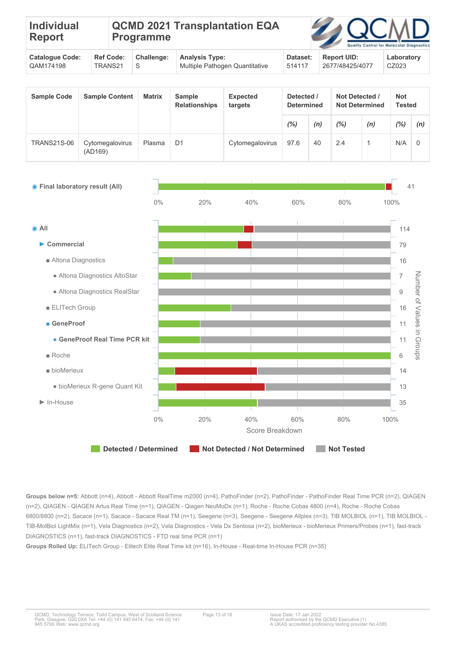| <b>Individual</b><br>Report |  | <b>Programme</b> | <b>QCMD 2021 Transplantation EQA</b> |                         |  | <b>ZAQCMD</b><br>Quality Control for Molecular Diagnostic |
|-----------------------------|--|------------------|--------------------------------------|-------------------------|--|-----------------------------------------------------------|
|                             |  | $R = 0.000$      | Array Louis Transact                 | $D = 1 - 1$ $D = 1 - 1$ |  | المستحلف والمستحدث والمستحدث                              |

| <b>Catalogue Code:</b> |         | Ref Code: Challenge: Analysis Type: | Dataset: | <b>Report UID:</b> | Laboratory |
|------------------------|---------|-------------------------------------|----------|--------------------|------------|
| QAM174198              | TRANS21 | Multiple Pathogen Quantitative      | 514117   | 2677/48425/4077    | CZ023      |

| <b>Sample Code</b> | <b>Sample Content</b>      | <b>Matrix</b> | <b>Sample</b><br><b>Relationships</b> | <b>Expected</b><br>targets | Detected /<br><b>Determined</b> |     | Not Detected /<br><b>Not Determined</b> |     | Not | Tested   |  |
|--------------------|----------------------------|---------------|---------------------------------------|----------------------------|---------------------------------|-----|-----------------------------------------|-----|-----|----------|--|
|                    |                            |               |                                       |                            | $(\%)$                          | (n) | $(\%)$                                  | (n) | (%) | (n)      |  |
| <b>TRANS21S-06</b> | Cytomegalovirus<br>(AD169) | Plasma        | D <sub>1</sub>                        | Cytomegalovirus            | 97.6                            | 40  | 2.4                                     |     | N/A | $\Omega$ |  |



**Groups below n=5:** Abbott (n=4), Abbott - Abbott RealTime m2000 (n=4), PathoFinder (n=2), PathoFinder - PathoFinder Real Time PCR (n=2), QIAGEN (n=2), QIAGEN - QIAGEN Artus Real Time (n=1), QIAGEN - Qiagen NeuMoDx (n=1), Roche - Roche Cobas 4800 (n=4), Roche - Roche Cobas 6800/8800 (n=2), Sacace (n=1), Sacace - Sacace Real TM (n=1), Seegene (n=3), Seegene - Seegene Allplex (n=3), TIB MOLBIOL (n=1), TIB MOLBIOL -TIB-MolBiol LightMix (n=1), Vela Diagnostics (n=2), Vela Diagnostics - Vela Dx Sentosa (n=2), bioMerieux - bioMerieux Primers/Probes (n=1), fast-track DIAGNOSTICS (n=1), fast-track DIAGNOSTICS - FTD real time PCR (n=1)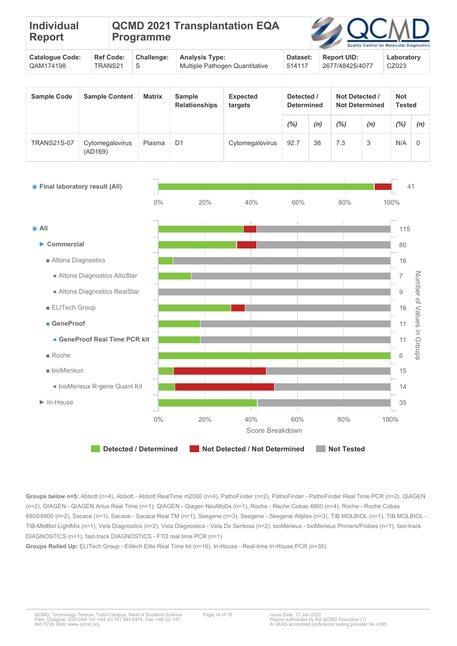| <b>Individual</b><br>Report |  | <b>Programme</b> | <b>QCMD 2021 Transplantation EQA</b> |                         |  | <b>ZAQCMD</b><br>Quality Control for Molecular Diagnostic |
|-----------------------------|--|------------------|--------------------------------------|-------------------------|--|-----------------------------------------------------------|
|                             |  | $R = 0.000$      | Array Louis Transact                 | $D = L = L$ $D = L = L$ |  | المستحلف والمستحدث والمستحدث                              |

| <b>Catalogue Code:</b> |           | Ref Code: Challenge: Analysis Type:         | <b>Dataset:</b> | <b>Report UID:</b> | Laboratory |
|------------------------|-----------|---------------------------------------------|-----------------|--------------------|------------|
| QAM174198              | TRANS21 S | <sup>1</sup> Multiple Pathogen Quantitative | 514117          | 2677/48425/4077    | CZ023      |

| <b>Sample Code</b> | <b>Sample Content</b>      | <b>Matrix</b> | <b>Sample</b><br><b>Relationships</b> | <b>Expected</b><br>targets | Detected /<br><b>Determined</b> |     | Not Detected /<br><b>Not Determined</b> |     | <b>Not</b> | <b>Tested</b> |  |
|--------------------|----------------------------|---------------|---------------------------------------|----------------------------|---------------------------------|-----|-----------------------------------------|-----|------------|---------------|--|
|                    |                            |               |                                       |                            | (%)                             | (n) | $(\%)$                                  | (n) | $(\%)$     | (n)           |  |
| <b>TRANS21S-07</b> | Cytomegalovirus<br>(AD169) | Plasma        | D <sub>1</sub>                        | Cytomegalovirus            | 92.7                            | 38  | 7.3                                     | 3   | N/A        | $\Omega$      |  |



**Groups below n=5:** Abbott (n=4), Abbott - Abbott RealTime m2000 (n=4), PathoFinder (n=2), PathoFinder - PathoFinder Real Time PCR (n=2), QIAGEN (n=2), QIAGEN - QIAGEN Artus Real Time (n=1), QIAGEN - Qiagen NeuMoDx (n=1), Roche - Roche Cobas 4800 (n=4), Roche - Roche Cobas 6800/8800 (n=2), Sacace (n=1), Sacace - Sacace Real TM (n=1), Seegene (n=3), Seegene - Seegene Allplex (n=3), TIB MOLBIOL (n=1), TIB MOLBIOL -TIB-MolBiol LightMix (n=1), Vela Diagnostics (n=2), Vela Diagnostics - Vela Dx Sentosa (n=2), bioMerieux - bioMerieux Primers/Probes (n=1), fast-track DIAGNOSTICS (n=1), fast-track DIAGNOSTICS - FTD real time PCR (n=1)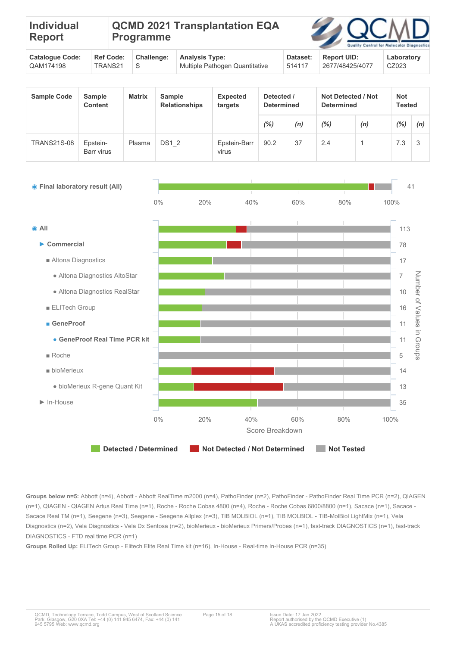| <b>Individual</b><br><b>Report</b> |                 | <b>Programme</b> | QCMD 2021 Transplantation EQA |                 | <b>ZAQCMD</b>         | Quality Control for Molecular Diagnostic |
|------------------------------------|-----------------|------------------|-------------------------------|-----------------|-----------------------|------------------------------------------|
| Catalance Cadar                    | $P - F - F - F$ | Challenger       | Angeles Truce                 | $D - 4 - - - 4$ | $P_{\text{sh}} = 11P$ | والمتماز والمستمر والمرار                |

| Cataloque Code:        |           | Ref Code: Challenge: Analysis Type: | Dataset:  | Report UID:     | Laboratory |
|------------------------|-----------|-------------------------------------|-----------|-----------------|------------|
| <sup>0</sup> QAM174198 | TRANS21 S | Multiple Pathogen Quantitative      | $+514117$ | 2677/48425/4077 | CZ023      |
|                        |           |                                     |           |                 |            |

| <b>Sample Code</b> | <b>Sample</b><br><b>Content</b> | <b>Matrix</b> | <b>Sample</b><br><b>Relationships</b> | <b>Expected</b><br>targets | Detected /<br><b>Determined</b> |     | Not Detected / Not<br><b>Determined</b> |     | Not<br><b>Tested</b> |     |
|--------------------|---------------------------------|---------------|---------------------------------------|----------------------------|---------------------------------|-----|-----------------------------------------|-----|----------------------|-----|
|                    |                                 |               |                                       |                            | (%)                             | (n) | (%)                                     | (n) | $(\% )$              | (n) |
| <b>TRANS21S-08</b> | Epstein-<br>Barr virus          | Plasma        | <b>DS1 2</b>                          | Epstein-Barr<br>virus      | 90.2                            | 37  | 2.4                                     |     | 7.3                  | 3   |



**Groups below n=5:** Abbott (n=4), Abbott - Abbott RealTime m2000 (n=4), PathoFinder (n=2), PathoFinder - PathoFinder Real Time PCR (n=2), QIAGEN (n=1), QIAGEN - QIAGEN Artus Real Time (n=1), Roche - Roche Cobas 4800 (n=4), Roche - Roche Cobas 6800/8800 (n=1), Sacace (n=1), Sacace - Sacace Real TM (n=1), Seegene (n=3), Seegene - Seegene Allplex (n=3), TIB MOLBIOL (n=1), TIB MOLBIOL - TIB-MolBiol LightMix (n=1), Vela Diagnostics (n=2), Vela Diagnostics - Vela Dx Sentosa (n=2), bioMerieux - bioMerieux Primers/Probes (n=1), fast-track DIAGNOSTICS (n=1), fast-track DIAGNOSTICS - FTD real time PCR (n=1)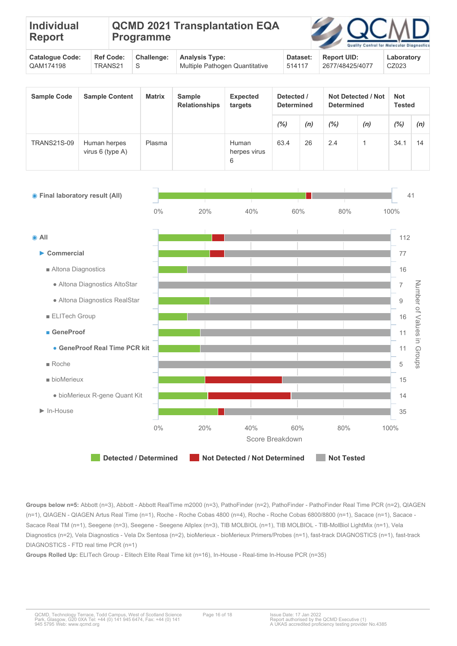| <b>Individual</b><br>Report | <b>Programme</b> |  | <b>QCMD 2021 Transplantation EQA</b> |                      |                         | <b>ZAQCMD</b><br>Quality Control for Molecular Diagnostic |                              |
|-----------------------------|------------------|--|--------------------------------------|----------------------|-------------------------|-----------------------------------------------------------|------------------------------|
|                             |                  |  | $R = 0.000$                          | Array Louis Transact | $D = L = L$ $D = L = L$ |                                                           | المستحلف والمستحدث والمستحدث |

| <sup>1</sup> Cataloque Code: |           | Ref Code: Challenge: Analysis Type: | Dataset: | Report UID:     | Laboratory |
|------------------------------|-----------|-------------------------------------|----------|-----------------|------------|
| QAM174198                    | TRANS21 S | Multiple Pathogen Quantitative      | 514117   | 2677/48425/4077 | CZ023      |
|                              |           |                                     |          |                 |            |

| <b>Sample Code</b> | <b>Sample Content</b>              | <b>Matrix</b> | Sample<br><b>Relationships</b> | <b>Expected</b><br>targets | Detected /<br><b>Determined</b> |     |     |     | <b>Not Detected / Not</b><br><b>Determined</b> |     | <b>Not</b><br><b>Tested</b> |  |
|--------------------|------------------------------------|---------------|--------------------------------|----------------------------|---------------------------------|-----|-----|-----|------------------------------------------------|-----|-----------------------------|--|
|                    |                                    |               |                                |                            | $(\%)$                          | (n) | (%) | (n) | (%)                                            | (n) |                             |  |
| <b>TRANS21S-09</b> | Human herpes<br>virus $6$ (type A) | Plasma        |                                | Human<br>herpes virus<br>6 | 63.4                            | 26  | 2.4 |     | 34.1                                           | 14  |                             |  |



**Groups below n=5:** Abbott (n=3), Abbott - Abbott RealTime m2000 (n=3), PathoFinder (n=2), PathoFinder - PathoFinder Real Time PCR (n=2), QIAGEN (n=1), QIAGEN - QIAGEN Artus Real Time (n=1), Roche - Roche Cobas 4800 (n=4), Roche - Roche Cobas 6800/8800 (n=1), Sacace (n=1), Sacace - Sacace Real TM (n=1), Seegene (n=3), Seegene - Seegene Allplex (n=3), TIB MOLBIOL (n=1), TIB MOLBIOL - TIB-MolBiol LightMix (n=1), Vela Diagnostics (n=2), Vela Diagnostics - Vela Dx Sentosa (n=2), bioMerieux - bioMerieux Primers/Probes (n=1), fast-track DIAGNOSTICS (n=1), fast-track DIAGNOSTICS - FTD real time PCR (n=1)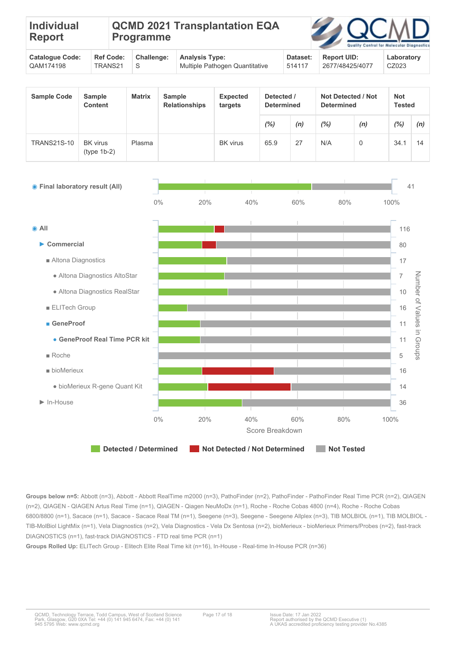| Individual<br><b>Report</b> |                  | <b>QCMD 2021 Transplantation EQA</b><br><b>Programme</b> |            |                       |          | <b>ZAQCMD</b>      | Quality Control for Molecular Diagnostic |
|-----------------------------|------------------|----------------------------------------------------------|------------|-----------------------|----------|--------------------|------------------------------------------|
| <b>Catalogue Code:</b>      | <b>Ref Code:</b> |                                                          | Challenge: | <b>Analysis Type:</b> | Dataset: | <b>Report UID:</b> | Laboratory                               |

514117

2677/48425/4077

CZ023

| <b>Sample Code</b> | <b>Sample</b><br><b>Content</b>  | <b>Matrix</b> | <b>Sample</b><br><b>Relationships</b> | <b>Expected</b><br>targets | Detected /<br><b>Determined</b> |     | Not Detected / Not<br><b>Determined</b> |          | <b>Not</b><br><b>Tested</b> |     |
|--------------------|----------------------------------|---------------|---------------------------------------|----------------------------|---------------------------------|-----|-----------------------------------------|----------|-----------------------------|-----|
|                    |                                  |               |                                       |                            | (%)                             | (n) | $(\%)$                                  | (n)      | $(\%)$                      | (n) |
| <b>TRANS21S-10</b> | <b>BK</b> virus<br>$(type 1b-2)$ | Plasma        |                                       | <b>BK</b> virus            | 65.9                            | 27  | N/A                                     | $\Omega$ | 34.1                        | 14  |



**Groups below n=5:** Abbott (n=3), Abbott - Abbott RealTime m2000 (n=3), PathoFinder (n=2), PathoFinder - PathoFinder Real Time PCR (n=2), QIAGEN (n=2), QIAGEN - QIAGEN Artus Real Time (n=1), QIAGEN - Qiagen NeuMoDx (n=1), Roche - Roche Cobas 4800 (n=4), Roche - Roche Cobas 6800/8800 (n=1), Sacace (n=1), Sacace - Sacace Real TM (n=1), Seegene (n=3), Seegene - Seegene Allplex (n=3), TIB MOLBIOL (n=1), TIB MOLBIOL -TIB-MolBiol LightMix (n=1), Vela Diagnostics (n=2), Vela Diagnostics - Vela Dx Sentosa (n=2), bioMerieux - bioMerieux Primers/Probes (n=2), fast-track DIAGNOSTICS (n=1), fast-track DIAGNOSTICS - FTD real time PCR (n=1)

**Groups Rolled Up:** ELITech Group - Elitech Elite Real Time kit (n=16), In-House - Real-time In-House PCR (n=36)

QAM174198

TRANS21

S